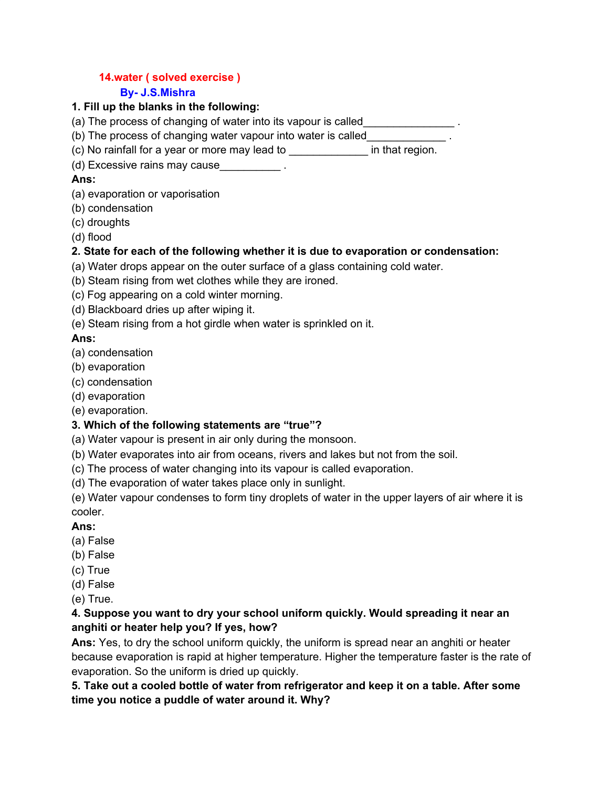# **14.water ( solved exercise )**

#### **By- J.S.Mishra**

#### **1. Fill up the blanks in the following:**

- (a) The process of changing of water into its vapour is called\_\_\_\_\_\_\_\_\_\_\_\_\_\_\_ .
- (b) The process of changing water vapour into water is called
- (c) No rainfall for a year or more may lead to \_\_\_\_\_\_\_\_\_\_\_\_\_ in that region.
- (d) Excessive rains may cause\_\_\_\_\_\_\_\_\_\_ .

### **Ans:**

- (a) evaporation or vaporisation
- (b) condensation
- (c) droughts
- (d) flood

# **2. State for each of the following whether it is due to evaporation or condensation:**

- (a) Water drops appear on the outer surface of a glass containing cold water.
- (b) Steam rising from wet clothes while they are ironed.
- (c) Fog appearing on a cold winter morning.
- (d) Blackboard dries up after wiping it.
- (e) Steam rising from a hot girdle when water is sprinkled on it.

# **Ans:**

- (a) condensation
- (b) evaporation
- (c) condensation
- (d) evaporation
- (e) evaporation.

# **3. Which of the following statements are "true"?**

- (a) Water vapour is present in air only during the monsoon.
- (b) Water evaporates into air from oceans, rivers and lakes but not from the soil.
- (c) The process of water changing into its vapour is called evaporation.
- (d) The evaporation of water takes place only in sunlight.
- (e) Water vapour condenses to form tiny droplets of water in the upper layers of air where it is cooler.

# **Ans:**

- (a) False
- (b) False
- (c) True
- (d) False
- (e) True.

#### **4. Suppose you want to dry your school uniform quickly. Would spreading it near an anghiti or heater help you? If yes, how?**

**Ans:** Yes, to dry the school uniform quickly, the uniform is spread near an anghiti or heater because evaporation is rapid at higher temperature. Higher the temperature faster is the rate of evaporation. So the uniform is dried up quickly.

# **5. Take out a cooled bottle of water from refrigerator and keep it on a table. After some time you notice a puddle of water around it. Why?**